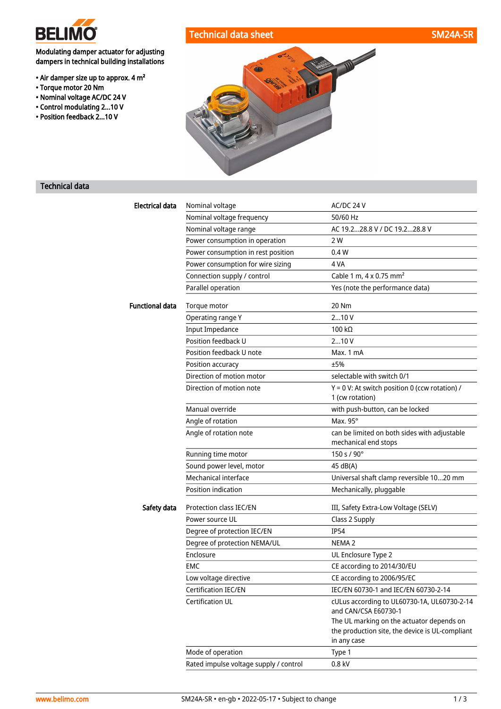

• Torque motor 20 Nm • Nominal voltage AC/DC 24 V • Control modulating 2...10 V • Position feedback 2...10 V

Modulating damper actuator for adjusting dampers in technical building installations

• Air damper size up to approx. 4 m²

# Technical data sheet SM24A-SR



## Technical data

| <b>Electrical data</b> | Nominal voltage                        | AC/DC 24 V                                                                                                  |  |  |
|------------------------|----------------------------------------|-------------------------------------------------------------------------------------------------------------|--|--|
|                        | Nominal voltage frequency              | 50/60 Hz                                                                                                    |  |  |
|                        | Nominal voltage range                  | AC 19.228.8 V / DC 19.228.8 V                                                                               |  |  |
|                        | Power consumption in operation         | 2 W                                                                                                         |  |  |
|                        | Power consumption in rest position     | 0.4W                                                                                                        |  |  |
|                        | Power consumption for wire sizing      | 4 VA                                                                                                        |  |  |
|                        | Connection supply / control            | Cable 1 m, $4 \times 0.75$ mm <sup>2</sup>                                                                  |  |  |
|                        | Parallel operation                     | Yes (note the performance data)                                                                             |  |  |
| <b>Functional data</b> | Torque motor                           | 20 Nm                                                                                                       |  |  |
|                        | Operating range Y                      | 210V                                                                                                        |  |  |
|                        | <b>Input Impedance</b>                 | 100 $k\Omega$                                                                                               |  |  |
|                        | Position feedback U                    | 210V                                                                                                        |  |  |
|                        | Position feedback U note               | Max. 1 mA                                                                                                   |  |  |
|                        | Position accuracy                      | ±5%                                                                                                         |  |  |
|                        | Direction of motion motor              | selectable with switch 0/1                                                                                  |  |  |
|                        | Direction of motion note               | Y = 0 V: At switch position 0 (ccw rotation) /                                                              |  |  |
|                        |                                        | 1 (cw rotation)                                                                                             |  |  |
|                        | Manual override                        | with push-button, can be locked                                                                             |  |  |
|                        | Angle of rotation                      | Max. $95^\circ$                                                                                             |  |  |
|                        | Angle of rotation note                 | can be limited on both sides with adjustable<br>mechanical end stops                                        |  |  |
|                        | Running time motor                     | 150 s / 90°                                                                                                 |  |  |
|                        | Sound power level, motor               | 45 dB(A)                                                                                                    |  |  |
|                        | Mechanical interface                   | Universal shaft clamp reversible 1020 mm                                                                    |  |  |
|                        | Position indication                    | Mechanically, pluggable                                                                                     |  |  |
| Safety data            | Protection class IEC/EN                | III, Safety Extra-Low Voltage (SELV)                                                                        |  |  |
|                        | Power source UL                        | Class 2 Supply                                                                                              |  |  |
|                        | Degree of protection IEC/EN            | <b>IP54</b>                                                                                                 |  |  |
|                        | Degree of protection NEMA/UL           | NEMA <sub>2</sub>                                                                                           |  |  |
|                        | Enclosure                              | UL Enclosure Type 2                                                                                         |  |  |
|                        | EMC                                    | CE according to 2014/30/EU                                                                                  |  |  |
|                        | Low voltage directive                  | CE according to 2006/95/EC                                                                                  |  |  |
|                        | Certification IEC/EN                   | IEC/EN 60730-1 and IEC/EN 60730-2-14                                                                        |  |  |
|                        | <b>Certification UL</b>                | cULus according to UL60730-1A, UL60730-2-14<br>and CAN/CSA E60730-1                                         |  |  |
|                        |                                        | The UL marking on the actuator depends on<br>the production site, the device is UL-compliant<br>in any case |  |  |
|                        | Mode of operation                      | Type 1                                                                                                      |  |  |
|                        | Rated impulse voltage supply / control | $0.8$ kV                                                                                                    |  |  |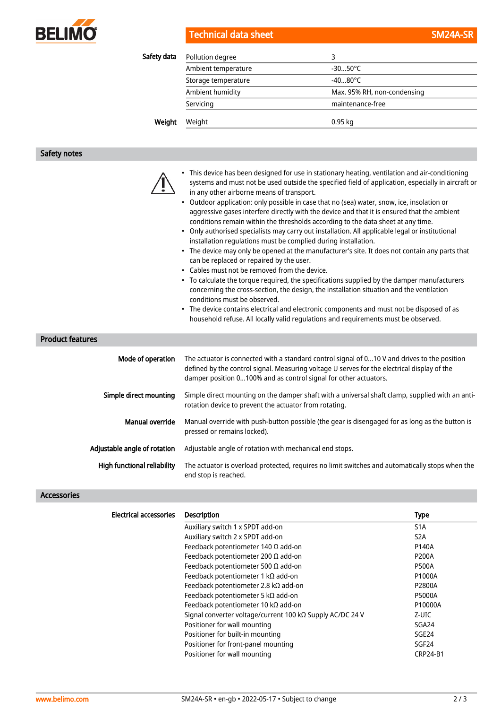

| <b>Technical data sheet</b> |  |  |  |  |  |
|-----------------------------|--|--|--|--|--|
|                             |  |  |  |  |  |
|                             |  |  |  |  |  |

| Safety data | Pollution degree    | 3                           |
|-------------|---------------------|-----------------------------|
|             | Ambient temperature | $-3050^{\circ}$ C           |
|             | Storage temperature | $-4080^{\circ}$ C           |
|             | Ambient humidity    | Max. 95% RH, non-condensing |
|             | Servicing           | maintenance-free            |
| Weight      | Weight              | $0.95$ kg                   |

# Safety notes

|                         |                   | This device has been designed for use in stationary heating, ventilation and air-conditioning<br>systems and must not be used outside the specified field of application, especially in aircraft or<br>in any other airborne means of transport.<br>Outdoor application: only possible in case that no (sea) water, snow, ice, insolation or<br>$\bullet$<br>aggressive gases interfere directly with the device and that it is ensured that the ambient<br>conditions remain within the thresholds according to the data sheet at any time.<br>• Only authorised specialists may carry out installation. All applicable legal or institutional<br>installation regulations must be complied during installation.<br>• The device may only be opened at the manufacturer's site. It does not contain any parts that<br>can be replaced or repaired by the user.<br>• Cables must not be removed from the device.<br>• To calculate the torque required, the specifications supplied by the damper manufacturers<br>concerning the cross-section, the design, the installation situation and the ventilation<br>conditions must be observed.<br>• The device contains electrical and electronic components and must not be disposed of as<br>household refuse. All locally valid regulations and requirements must be observed. |
|-------------------------|-------------------|--------------------------------------------------------------------------------------------------------------------------------------------------------------------------------------------------------------------------------------------------------------------------------------------------------------------------------------------------------------------------------------------------------------------------------------------------------------------------------------------------------------------------------------------------------------------------------------------------------------------------------------------------------------------------------------------------------------------------------------------------------------------------------------------------------------------------------------------------------------------------------------------------------------------------------------------------------------------------------------------------------------------------------------------------------------------------------------------------------------------------------------------------------------------------------------------------------------------------------------------------------------------------------------------------------------------------------|
| <b>Product features</b> |                   |                                                                                                                                                                                                                                                                                                                                                                                                                                                                                                                                                                                                                                                                                                                                                                                                                                                                                                                                                                                                                                                                                                                                                                                                                                                                                                                                |
|                         | Mode of operation | The actuator is connected with a standard control signal of 010 V and drives to the position<br>defined by the control signal. Measuring voltage U serves for the electrical display of the<br>damper position 0100% and as control signal for other actuators.                                                                                                                                                                                                                                                                                                                                                                                                                                                                                                                                                                                                                                                                                                                                                                                                                                                                                                                                                                                                                                                                |
|                         |                   | Simple direct mounting Simple direct mounting on the damper shaft with a universal shaft clamp supplied with an anti-                                                                                                                                                                                                                                                                                                                                                                                                                                                                                                                                                                                                                                                                                                                                                                                                                                                                                                                                                                                                                                                                                                                                                                                                          |

| Simple direct mounting | Simple direct mounting on the damper shaft with a universal shaft clamp, supplied with an anti-<br>rotation device to prevent the actuator from rotating. |
|------------------------|-----------------------------------------------------------------------------------------------------------------------------------------------------------|
| Manual override        | Manual override with push-button possible (the gear is disengaged for as long as the button is<br>pressed or remains locked).                             |

| Adjustable angle of rotation | Adjustable angle of rotation with mechanical end stops.                                                                 |
|------------------------------|-------------------------------------------------------------------------------------------------------------------------|
| High functional reliability  | The actuator is overload protected, requires no limit switches and automatically stops when the<br>end stop is reached. |

### Accessories

| <b>Electrical accessories</b> | <b>Description</b>                                        | Type              |
|-------------------------------|-----------------------------------------------------------|-------------------|
|                               | Auxiliary switch 1 x SPDT add-on                          | S1A               |
|                               | Auxiliary switch 2 x SPDT add-on                          | S <sub>2</sub> A  |
|                               | Feedback potentiometer 140 $\Omega$ add-on                | P140A             |
|                               | Feedback potentiometer 200 $\Omega$ add-on                | <b>P200A</b>      |
|                               | Feedback potentiometer 500 $\Omega$ add-on                | <b>P500A</b>      |
|                               | Feedback potentiometer 1 k $\Omega$ add-on                | P1000A            |
|                               | Feedback potentiometer 2.8 k $\Omega$ add-on              | P2800A            |
|                               | Feedback potentiometer 5 k $\Omega$ add-on                | <b>P5000A</b>     |
|                               | Feedback potentiometer 10 kΩ add-on                       | P10000A           |
|                               | Signal converter voltage/current 100 kΩ Supply AC/DC 24 V | Z-UIC             |
|                               | Positioner for wall mounting                              | SGA24             |
|                               | Positioner for built-in mounting                          | SGE24             |
|                               | Positioner for front-panel mounting                       | SGF <sub>24</sub> |
|                               | Positioner for wall mounting                              | <b>CRP24-B1</b>   |